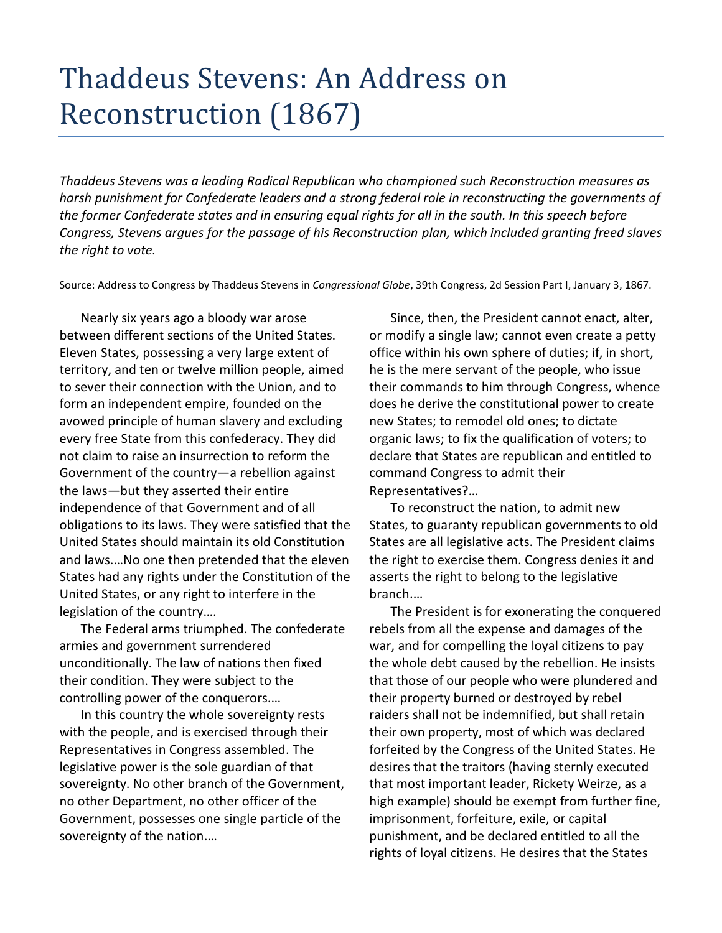## Thaddeus Stevens: An Address on Reconstruction (1867)

*Thaddeus Stevens was a leading Radical Republican who championed such Reconstruction measures as harsh punishment for Confederate leaders and a strong federal role in reconstructing the governments of the former Confederate states and in ensuring equal rights for all in the south. In this speech before Congress, Stevens argues for the passage of his Reconstruction plan, which included granting freed slaves the right to vote.* 

Source: Address to Congress by Thaddeus Stevens in *Congressional Globe*, 39th Congress, 2d Session Part I, January 3, 1867.

Nearly six years ago a bloody war arose between different sections of the United States. Eleven States, possessing a very large extent of territory, and ten or twelve million people, aimed to sever their connection with the Union, and to form an independent empire, founded on the avowed principle of human slavery and excluding every free State from this confederacy. They did not claim to raise an insurrection to reform the Government of the country—a rebellion against the laws—but they asserted their entire independence of that Government and of all obligations to its laws. They were satisfied that the United States should maintain its old Constitution and laws.…No one then pretended that the eleven States had any rights under the Constitution of the United States, or any right to interfere in the legislation of the country….

The Federal arms triumphed. The confederate armies and government surrendered unconditionally. The law of nations then fixed their condition. They were subject to the controlling power of the conquerors.…

In this country the whole sovereignty rests with the people, and is exercised through their Representatives in Congress assembled. The legislative power is the sole guardian of that sovereignty. No other branch of the Government, no other Department, no other officer of the Government, possesses one single particle of the sovereignty of the nation.…

Since, then, the President cannot enact, alter, or modify a single law; cannot even create a petty office within his own sphere of duties; if, in short, he is the mere servant of the people, who issue their commands to him through Congress, whence does he derive the constitutional power to create new States; to remodel old ones; to dictate organic laws; to fix the qualification of voters; to declare that States are republican and entitled to command Congress to admit their Representatives?…

To reconstruct the nation, to admit new States, to guaranty republican governments to old States are all legislative acts. The President claims the right to exercise them. Congress denies it and asserts the right to belong to the legislative branch.…

The President is for exonerating the conquered rebels from all the expense and damages of the war, and for compelling the loyal citizens to pay the whole debt caused by the rebellion. He insists that those of our people who were plundered and their property burned or destroyed by rebel raiders shall not be indemnified, but shall retain their own property, most of which was declared forfeited by the Congress of the United States. He desires that the traitors (having sternly executed that most important leader, Rickety Weirze, as a high example) should be exempt from further fine, imprisonment, forfeiture, exile, or capital punishment, and be declared entitled to all the rights of loyal citizens. He desires that the States